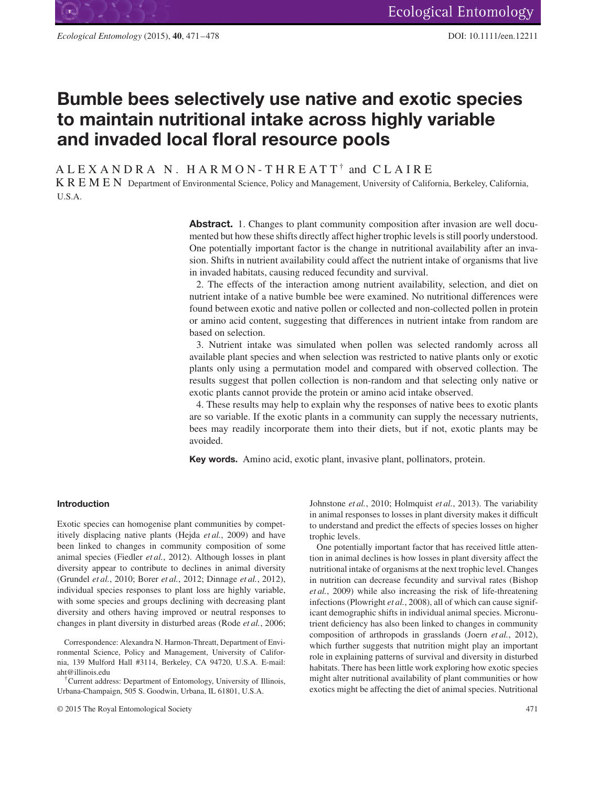# **Bumble bees selectively use native and exotic species to maintain nutritional intake across highly variable and invaded local floral resource pools**

ALEXANDRA N. HARMON-THREATT<sup>†</sup> and CLAIRE

KREMEN Department of Environmental Science, Policy and Management, University of California, Berkeley, California, U.S.A.

> **Abstract.** 1. Changes to plant community composition after invasion are well documented but how these shifts directly affect higher trophic levels is still poorly understood. One potentially important factor is the change in nutritional availability after an invasion. Shifts in nutrient availability could affect the nutrient intake of organisms that live in invaded habitats, causing reduced fecundity and survival.

> 2. The effects of the interaction among nutrient availability, selection, and diet on nutrient intake of a native bumble bee were examined. No nutritional differences were found between exotic and native pollen or collected and non-collected pollen in protein or amino acid content, suggesting that differences in nutrient intake from random are based on selection.

> 3. Nutrient intake was simulated when pollen was selected randomly across all available plant species and when selection was restricted to native plants only or exotic plants only using a permutation model and compared with observed collection. The results suggest that pollen collection is non-random and that selecting only native or exotic plants cannot provide the protein or amino acid intake observed.

> 4. These results may help to explain why the responses of native bees to exotic plants are so variable. If the exotic plants in a community can supply the necessary nutrients, bees may readily incorporate them into their diets, but if not, exotic plants may be avoided.

**Key words.** Amino acid, exotic plant, invasive plant, pollinators, protein.

# **Introduction**

Exotic species can homogenise plant communities by competitively displacing native plants (Hejda *et al.*, 2009) and have been linked to changes in community composition of some animal species (Fiedler *et al.*, 2012). Although losses in plant diversity appear to contribute to declines in animal diversity (Grundel *et al.*, 2010; Borer *et al.*, 2012; Dinnage *et al.*, 2012), individual species responses to plant loss are highly variable, with some species and groups declining with decreasing plant diversity and others having improved or neutral responses to changes in plant diversity in disturbed areas (Rode *et al.*, 2006;

Correspondence: Alexandra N. Harmon-Threatt, Department of Environmental Science, Policy and Management, University of California, 139 Mulford Hall #3114, Berkeley, CA 94720, U.S.A. E-mail: aht@illinois.edu

†Current address: Department of Entomology, University of Illinois, Urbana-Champaign, 505 S. Goodwin, Urbana, IL 61801, U.S.A.

Johnstone *et al.*, 2010; Holmquist *et al.*, 2013). The variability in animal responses to losses in plant diversity makes it difficult to understand and predict the effects of species losses on higher trophic levels.

One potentially important factor that has received little attention in animal declines is how losses in plant diversity affect the nutritional intake of organisms at the next trophic level. Changes in nutrition can decrease fecundity and survival rates (Bishop *et al.*, 2009) while also increasing the risk of life-threatening infections (Plowright *et al.*, 2008), all of which can cause significant demographic shifts in individual animal species. Micronutrient deficiency has also been linked to changes in community composition of arthropods in grasslands (Joern *et al.*, 2012), which further suggests that nutrition might play an important role in explaining patterns of survival and diversity in disturbed habitats. There has been little work exploring how exotic species might alter nutritional availability of plant communities or how exotics might be affecting the diet of animal species. Nutritional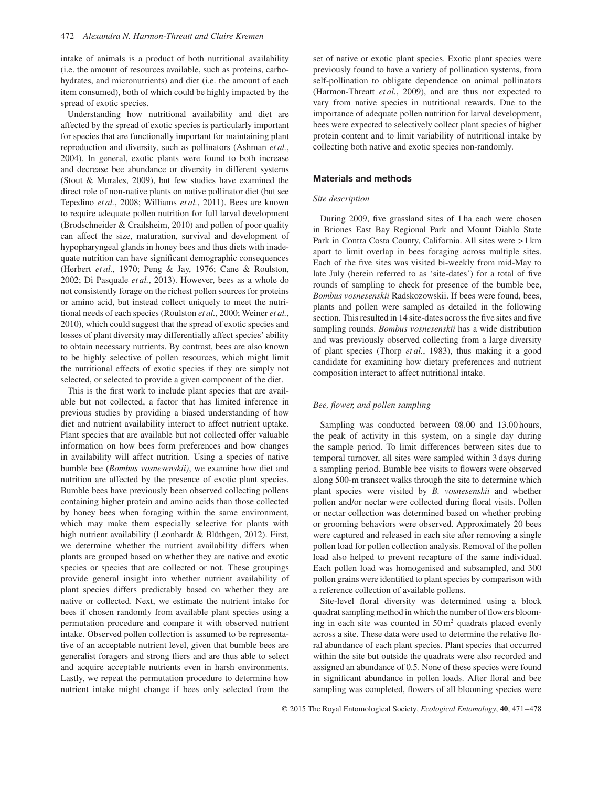intake of animals is a product of both nutritional availability (i.e. the amount of resources available, such as proteins, carbohydrates, and micronutrients) and diet (i.e. the amount of each item consumed), both of which could be highly impacted by the spread of exotic species.

Understanding how nutritional availability and diet are affected by the spread of exotic species is particularly important for species that are functionally important for maintaining plant reproduction and diversity, such as pollinators (Ashman *et al.*, 2004). In general, exotic plants were found to both increase and decrease bee abundance or diversity in different systems (Stout & Morales, 2009), but few studies have examined the direct role of non-native plants on native pollinator diet (but see Tepedino *et al.*, 2008; Williams *et al.*, 2011). Bees are known to require adequate pollen nutrition for full larval development (Brodschneider & Crailsheim, 2010) and pollen of poor quality can affect the size, maturation, survival and development of hypopharyngeal glands in honey bees and thus diets with inadequate nutrition can have significant demographic consequences (Herbert *et al.*, 1970; Peng & Jay, 1976; Cane & Roulston, 2002; Di Pasquale *et al.*, 2013). However, bees as a whole do not consistently forage on the richest pollen sources for proteins or amino acid, but instead collect uniquely to meet the nutritional needs of each species (Roulston *et al.*, 2000; Weiner *et al.*, 2010), which could suggest that the spread of exotic species and losses of plant diversity may differentially affect species' ability to obtain necessary nutrients. By contrast, bees are also known to be highly selective of pollen resources, which might limit the nutritional effects of exotic species if they are simply not selected, or selected to provide a given component of the diet.

This is the first work to include plant species that are available but not collected, a factor that has limited inference in previous studies by providing a biased understanding of how diet and nutrient availability interact to affect nutrient uptake. Plant species that are available but not collected offer valuable information on how bees form preferences and how changes in availability will affect nutrition. Using a species of native bumble bee (*Bombus vosnesenskii)*, we examine how diet and nutrition are affected by the presence of exotic plant species. Bumble bees have previously been observed collecting pollens containing higher protein and amino acids than those collected by honey bees when foraging within the same environment, which may make them especially selective for plants with high nutrient availability (Leonhardt & Blüthgen, 2012). First, we determine whether the nutrient availability differs when plants are grouped based on whether they are native and exotic species or species that are collected or not. These groupings provide general insight into whether nutrient availability of plant species differs predictably based on whether they are native or collected. Next, we estimate the nutrient intake for bees if chosen randomly from available plant species using a permutation procedure and compare it with observed nutrient intake. Observed pollen collection is assumed to be representative of an acceptable nutrient level, given that bumble bees are generalist foragers and strong fliers and are thus able to select and acquire acceptable nutrients even in harsh environments. Lastly, we repeat the permutation procedure to determine how nutrient intake might change if bees only selected from the

set of native or exotic plant species. Exotic plant species were previously found to have a variety of pollination systems, from self-pollination to obligate dependence on animal pollinators (Harmon-Threatt *et al.*, 2009), and are thus not expected to vary from native species in nutritional rewards. Due to the importance of adequate pollen nutrition for larval development, bees were expected to selectively collect plant species of higher protein content and to limit variability of nutritional intake by collecting both native and exotic species non-randomly.

### **Materials and methods**

## *Site description*

During 2009, five grassland sites of 1 ha each were chosen in Briones East Bay Regional Park and Mount Diablo State Park in Contra Costa County, California. All sites were *>*1 km apart to limit overlap in bees foraging across multiple sites. Each of the five sites was visited bi-weekly from mid-May to late July (herein referred to as 'site-dates') for a total of five rounds of sampling to check for presence of the bumble bee, *Bombus vosnesenskii* Radskozowskii. If bees were found, bees, plants and pollen were sampled as detailed in the following section. This resulted in 14 site-dates across the five sites and five sampling rounds. *Bombus vosnesenskii* has a wide distribution and was previously observed collecting from a large diversity of plant species (Thorp *et al.*, 1983), thus making it a good candidate for examining how dietary preferences and nutrient composition interact to affect nutritional intake.

## *Bee, flower, and pollen sampling*

Sampling was conducted between 08.00 and 13.00 hours, the peak of activity in this system, on a single day during the sample period. To limit differences between sites due to temporal turnover, all sites were sampled within 3 days during a sampling period. Bumble bee visits to flowers were observed along 500-m transect walks through the site to determine which plant species were visited by *B. vosnesenskii* and whether pollen and/or nectar were collected during floral visits. Pollen or nectar collection was determined based on whether probing or grooming behaviors were observed. Approximately 20 bees were captured and released in each site after removing a single pollen load for pollen collection analysis. Removal of the pollen load also helped to prevent recapture of the same individual. Each pollen load was homogenised and subsampled, and 300 pollen grains were identified to plant species by comparison with a reference collection of available pollens.

Site-level floral diversity was determined using a block quadrat sampling method in which the number of flowers blooming in each site was counted in  $50 \text{ m}^2$  quadrats placed evenly across a site. These data were used to determine the relative floral abundance of each plant species. Plant species that occurred within the site but outside the quadrats were also recorded and assigned an abundance of 0.5. None of these species were found in significant abundance in pollen loads. After floral and bee sampling was completed, flowers of all blooming species were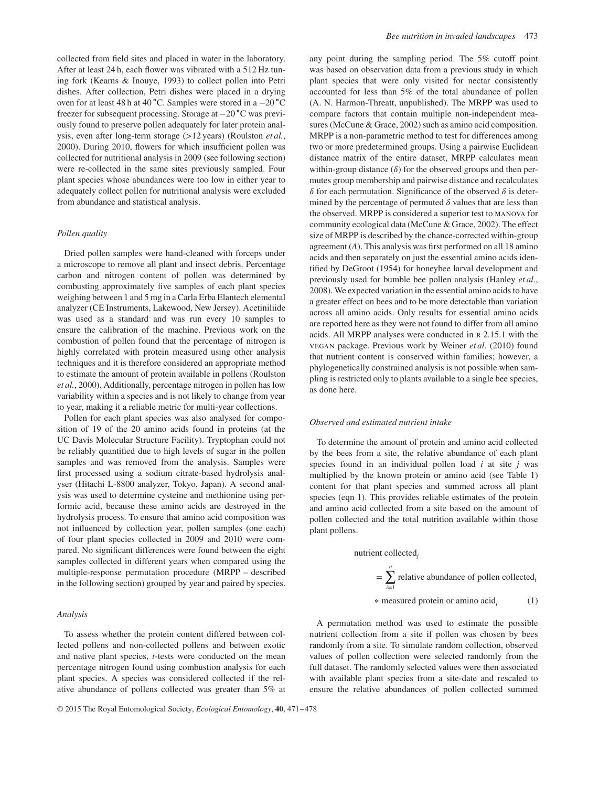collected from field sites and placed in water in the laboratory. After at least 24 h, each flower was vibrated with a 512 Hz tuning fork (Kearns & Inouye, 1993) to collect pollen into Petri dishes. After collection, Petri dishes were placed in a drying oven for at least 48 h at 40 ∘C. Samples were stored in a −20 ∘C freezer for subsequent processing. Storage at −20 ∘C was previously found to preserve pollen adequately for later protein analysis, even after long-term storage (*>*12 years) (Roulston *et al.*, 2000). During 2010, flowers for which insufficient pollen was collected for nutritional analysis in 2009 (see following section) were re-collected in the same sites previously sampled. Four plant species whose abundances were too low in either year to adequately collect pollen for nutritional analysis were excluded from abundance and statistical analysis.

## *Pollen quality*

Dried pollen samples were hand-cleaned with forceps under a microscope to remove all plant and insect debris. Percentage carbon and nitrogen content of pollen was determined by combusting approximately five samples of each plant species weighing between 1 and 5 mg in a Carla Erba Elantech elemental analyzer (CE Instruments, Lakewood, New Jersey). Acetiniliide was used as a standard and was run every 10 samples to ensure the calibration of the machine. Previous work on the combustion of pollen found that the percentage of nitrogen is highly correlated with protein measured using other analysis techniques and it is therefore considered an appropriate method to estimate the amount of protein available in pollens (Roulston *et al.*, 2000). Additionally, percentage nitrogen in pollen has low variability within a species and is not likely to change from year to year, making it a reliable metric for multi-year collections.

Pollen for each plant species was also analysed for composition of 19 of the 20 amino acids found in proteins (at the UC Davis Molecular Structure Facility). Tryptophan could not be reliably quantified due to high levels of sugar in the pollen samples and was removed from the analysis. Samples were first processed using a sodium citrate-based hydrolysis analyser (Hitachi L-8800 analyzer, Tokyo, Japan). A second analysis was used to determine cysteine and methionine using performic acid, because these amino acids are destroyed in the hydrolysis process. To ensure that amino acid composition was not influenced by collection year, pollen samples (one each) of four plant species collected in 2009 and 2010 were compared. No significant differences were found between the eight samples collected in different years when compared using the multiple-response permutation procedure (MRPP – described in the following section) grouped by year and paired by species.

# *Analysis*

To assess whether the protein content differed between collected pollens and non-collected pollens and between exotic and native plant species, *t*-tests were conducted on the mean percentage nitrogen found using combustion analysis for each plant species. A species was considered collected if the relative abundance of pollens collected was greater than 5% at any point during the sampling period. The 5% cutoff point was based on observation data from a previous study in which plant species that were only visited for nectar consistently accounted for less than 5% of the total abundance of pollen (A. N. Harmon-Threatt, unpublished). The MRPP was used to compare factors that contain multiple non-independent measures (McCune & Grace, 2002) such as amino acid composition. MRPP is a non-parametric method to test for differences among two or more predetermined groups. Using a pairwise Euclidean distance matrix of the entire dataset, MRPP calculates mean within-group distance  $(\delta)$  for the observed groups and then permutes group membership and pairwise distance and recalculates  $\delta$  for each permutation. Significance of the observed  $\delta$  is determined by the percentage of permuted  $\delta$  values that are less than the observed. MRPP is considered a superior test to manova for community ecological data (McCune & Grace, 2002). The effect size of MRPP is described by the chance-corrected within-group agreement (*A*). This analysis was first performed on all 18 amino acids and then separately on just the essential amino acids identified by DeGroot (1954) for honeybee larval development and previously used for bumble bee pollen analysis (Hanley *et al.*, 2008). We expected variation in the essential amino acids to have a greater effect on bees and to be more detectable than variation across all amino acids. Only results for essential amino acids are reported here as they were not found to differ from all amino acids. All MRPP analyses were conducted in r 2.15.1 with the vegan package. Previous work by Weiner *et al.* (2010) found that nutrient content is conserved within families; however, a phylogenetically constrained analysis is not possible when sampling is restricted only to plants available to a single bee species, as done here.

## *Observed and estimated nutrient intake*

To determine the amount of protein and amino acid collected by the bees from a site, the relative abundance of each plant species found in an individual pollen load *i* at site *j* was multiplied by the known protein or amino acid (see Table 1) content for that plant species and summed across all plant species (eqn 1). This provides reliable estimates of the protein and amino acid collected from a site based on the amount of pollen collected and the total nutrition available within those plant pollens.

nutrient collected,

\n
$$
= \sum_{i=1}^{n} \text{relative abundance of pollen collected},
$$
\naverage to the number of cells.

∗ measured protein or amino acid*<sup>i</sup>* (1)

A permutation method was used to estimate the possible nutrient collection from a site if pollen was chosen by bees randomly from a site. To simulate random collection, observed values of pollen collection were selected randomly from the full dataset. The randomly selected values were then associated with available plant species from a site-date and rescaled to ensure the relative abundances of pollen collected summed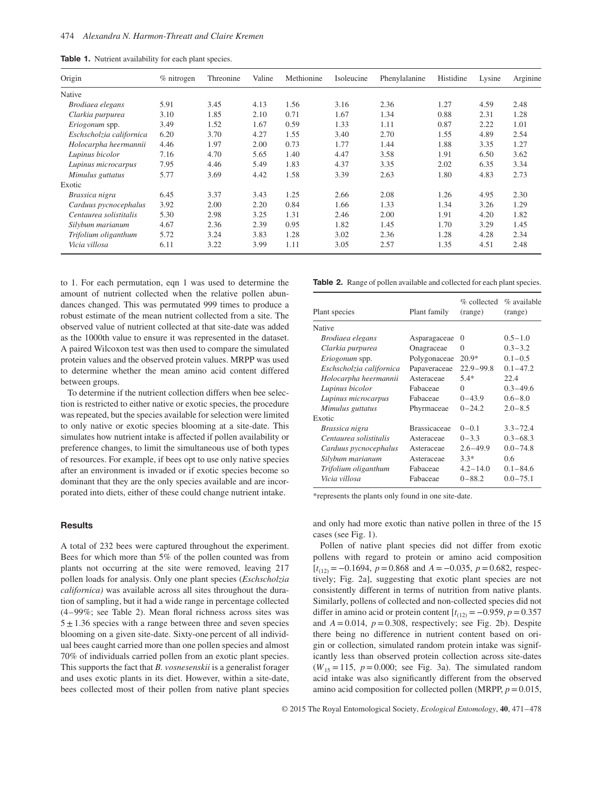| <b>Table 1.</b> Nutrient availability for each plant species. |  |
|---------------------------------------------------------------|--|
|---------------------------------------------------------------|--|

| Origin                   | $%$ nitrogen | Threonine | Valine | Methionine | Isoleucine | Phenylalanine | Histidine | Lysine | Arginine |
|--------------------------|--------------|-----------|--------|------------|------------|---------------|-----------|--------|----------|
| Native                   |              |           |        |            |            |               |           |        |          |
| Brodiaea elegans         | 5.91         | 3.45      | 4.13   | 1.56       | 3.16       | 2.36          | 1.27      | 4.59   | 2.48     |
| Clarkia purpurea         | 3.10         | 1.85      | 2.10   | 0.71       | 1.67       | 1.34          | 0.88      | 2.31   | 1.28     |
| Eriogonum spp.           | 3.49         | 1.52      | 1.67   | 0.59       | 1.33       | 1.11          | 0.87      | 2.22   | 1.01     |
| Eschscholzia californica | 6.20         | 3.70      | 4.27   | 1.55       | 3.40       | 2.70          | 1.55      | 4.89   | 2.54     |
| Holocarpha heermannii    | 4.46         | 1.97      | 2.00   | 0.73       | 1.77       | 1.44          | 1.88      | 3.35   | 1.27     |
| Lupinus bicolor          | 7.16         | 4.70      | 5.65   | 1.40       | 4.47       | 3.58          | 1.91      | 6.50   | 3.62     |
| Lupinus microcarpus      | 7.95         | 4.46      | 5.49   | 1.83       | 4.37       | 3.35          | 2.02      | 6.35   | 3.34     |
| Mimulus guttatus         | 5.77         | 3.69      | 4.42   | 1.58       | 3.39       | 2.63          | 1.80      | 4.83   | 2.73     |
| Exotic                   |              |           |        |            |            |               |           |        |          |
| Brassica nigra           | 6.45         | 3.37      | 3.43   | 1.25       | 2.66       | 2.08          | 1.26      | 4.95   | 2.30     |
| Carduus pycnocephalus    | 3.92         | 2.00      | 2.20   | 0.84       | 1.66       | 1.33          | 1.34      | 3.26   | 1.29     |
| Centaurea solistitalis   | 5.30         | 2.98      | 3.25   | 1.31       | 2.46       | 2.00          | 1.91      | 4.20   | 1.82     |
| Silybum marianum         | 4.67         | 2.36      | 2.39   | 0.95       | 1.82       | 1.45          | 1.70      | 3.29   | 1.45     |
| Trifolium oliganthum     | 5.72         | 3.24      | 3.83   | 1.28       | 3.02       | 2.36          | 1.28      | 4.28   | 2.34     |
| Vicia villosa            | 6.11         | 3.22      | 3.99   | 1.11       | 3.05       | 2.57          | 1.35      | 4.51   | 2.48     |

to 1. For each permutation, eqn 1 was used to determine the amount of nutrient collected when the relative pollen abundances changed. This was permutated 999 times to produce a robust estimate of the mean nutrient collected from a site. The observed value of nutrient collected at that site-date was added as the 1000th value to ensure it was represented in the dataset. A paired Wilcoxon test was then used to compare the simulated protein values and the observed protein values. MRPP was used to determine whether the mean amino acid content differed between groups.

To determine if the nutrient collection differs when bee selection is restricted to either native or exotic species, the procedure was repeated, but the species available for selection were limited to only native or exotic species blooming at a site-date. This simulates how nutrient intake is affected if pollen availability or preference changes, to limit the simultaneous use of both types of resources. For example, if bees opt to use only native species after an environment is invaded or if exotic species become so dominant that they are the only species available and are incorporated into diets, either of these could change nutrient intake.

# **Results**

A total of 232 bees were captured throughout the experiment. Bees for which more than 5% of the pollen counted was from plants not occurring at the site were removed, leaving 217 pollen loads for analysis. Only one plant species (*Eschscholzia californica)* was available across all sites throughout the duration of sampling, but it had a wide range in percentage collected (4–99%; see Table 2). Mean floral richness across sites was  $5 \pm 1.36$  species with a range between three and seven species blooming on a given site-date. Sixty-one percent of all individual bees caught carried more than one pollen species and almost 70% of individuals carried pollen from an exotic plant species. This supports the fact that *B. vosnesenskii* is a generalist forager and uses exotic plants in its diet. However, within a site-date, bees collected most of their pollen from native plant species **Table 2.** Range of pollen available and collected for each plant species.

| Plant species            | Plant family        | % collected<br>(range) | % available<br>(range) |
|--------------------------|---------------------|------------------------|------------------------|
| Native                   |                     |                        |                        |
| Brodiaea elegans         | Asparagaceae        | $\Omega$               | $0.5 - 1.0$            |
| Clarkia purpurea         | Onagraceae          | $\Omega$               | $0.3 - 3.2$            |
| Eriogonum spp.           | Polygonaceae        | $20.9*$                | $0.1 - 0.5$            |
| Eschscholzia californica | Papaveraceae        | $22.9 - 99.8$          | $0.1 - 47.2$           |
| Holocarpha heermannii    | Asteraceae          | $5.4*$                 | 22.4                   |
| Lupinus bicolor          | Fabaceae            | $\Omega$               | $0.3 - 49.6$           |
| Lupinus microcarpus      | Fabaceae            | $0 - 43.9$             | $0.6 - 8.0$            |
| Mimulus guttatus         | Phyrmaceae          | $0 - 24.2$             | $2.0 - 8.5$            |
| Exotic                   |                     |                        |                        |
| Brassica nigra           | <b>Brassicaceae</b> | $0 - 0.1$              | $3.3 - 72.4$           |
| Centaurea solistitalis   | Asteraceae          | $0 - 3.3$              | $0.3 - 68.3$           |
| Carduus pycnocephalus    | Asteraceae          | $2.6 - 49.9$           | $0.0 - 74.8$           |
| Silybum marianum         | Asteraceae          | $3.3*$                 | 0.6                    |
| Trifolium oliganthum     | Fabaceae            | $4.2 - 14.0$           | $0.1 - 84.6$           |
| Vicia villosa            | Fabaceae            | $0 - 88.2$             | $0.0 - 75.1$           |

\*represents the plants only found in one site-date.

and only had more exotic than native pollen in three of the 15 cases (see Fig. 1).

Pollen of native plant species did not differ from exotic pollens with regard to protein or amino acid composition [*t*(12) = −0.1694, *p*=0.868 and *A*= −0.035, *p*=0.682, respectively; Fig. 2a], suggesting that exotic plant species are not consistently different in terms of nutrition from native plants. Similarly, pollens of collected and non-collected species did not differ in amino acid or protein content  $[t_{(12)} = -0.959, p = 0.357]$ and  $A = 0.014$ ,  $p = 0.308$ , respectively; see Fig. 2b). Despite there being no difference in nutrient content based on origin or collection, simulated random protein intake was significantly less than observed protein collection across site-dates  $(W_{15} = 115, p = 0.000;$  see Fig. 3a). The simulated random acid intake was also significantly different from the observed amino acid composition for collected pollen (MRPP,  $p = 0.015$ ,

© 2015 The Royal Entomological Society, *Ecological Entomology*, **40**, 471–478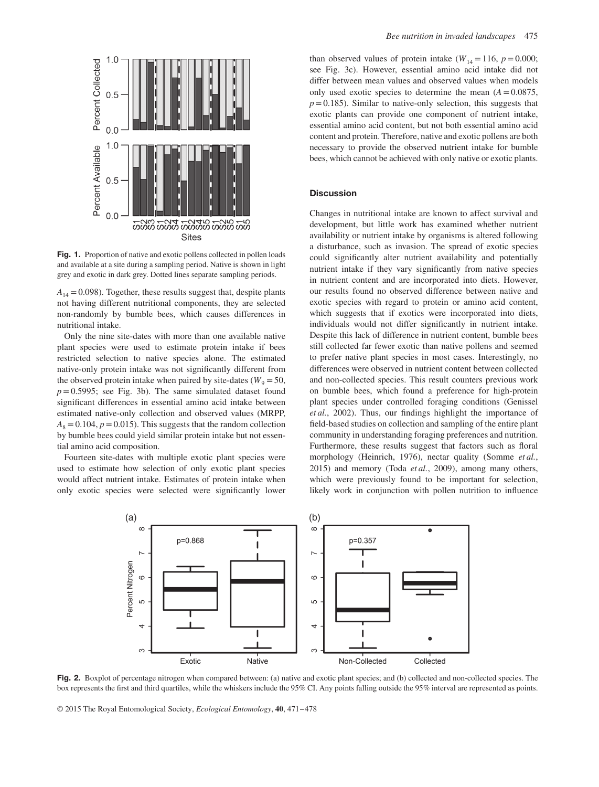

**Fig. 1.** Proportion of native and exotic pollens collected in pollen loads and available at a site during a sampling period. Native is shown in light grey and exotic in dark grey. Dotted lines separate sampling periods.

 $A_{14} = 0.098$ . Together, these results suggest that, despite plants not having different nutritional components, they are selected non-randomly by bumble bees, which causes differences in nutritional intake.

Only the nine site-dates with more than one available native plant species were used to estimate protein intake if bees restricted selection to native species alone. The estimated native-only protein intake was not significantly different from the observed protein intake when paired by site-dates ( $W<sub>9</sub> = 50$ ,  $p=0.5995$ ; see Fig. 3b). The same simulated dataset found significant differences in essential amino acid intake between estimated native-only collection and observed values (MRPP,  $A_8 = 0.104$ ,  $p = 0.015$ ). This suggests that the random collection by bumble bees could yield similar protein intake but not essential amino acid composition.

Fourteen site-dates with multiple exotic plant species were used to estimate how selection of only exotic plant species would affect nutrient intake. Estimates of protein intake when only exotic species were selected were significantly lower than observed values of protein intake  $(W_{14} = 116, p = 0.000)$ ; see Fig. 3c). However, essential amino acid intake did not differ between mean values and observed values when models only used exotic species to determine the mean  $(A = 0.0875)$ ,  $p=0.185$ ). Similar to native-only selection, this suggests that exotic plants can provide one component of nutrient intake, essential amino acid content, but not both essential amino acid content and protein. Therefore, native and exotic pollens are both necessary to provide the observed nutrient intake for bumble bees, which cannot be achieved with only native or exotic plants.

## **Discussion**

Changes in nutritional intake are known to affect survival and development, but little work has examined whether nutrient availability or nutrient intake by organisms is altered following a disturbance, such as invasion. The spread of exotic species could significantly alter nutrient availability and potentially nutrient intake if they vary significantly from native species in nutrient content and are incorporated into diets. However, our results found no observed difference between native and exotic species with regard to protein or amino acid content, which suggests that if exotics were incorporated into diets, individuals would not differ significantly in nutrient intake. Despite this lack of difference in nutrient content, bumble bees still collected far fewer exotic than native pollens and seemed to prefer native plant species in most cases. Interestingly, no differences were observed in nutrient content between collected and non-collected species. This result counters previous work on bumble bees, which found a preference for high-protein plant species under controlled foraging conditions (Genissel *et al.*, 2002). Thus, our findings highlight the importance of field-based studies on collection and sampling of the entire plant community in understanding foraging preferences and nutrition. Furthermore, these results suggest that factors such as floral morphology (Heinrich, 1976), nectar quality (Somme *et al.*, 2015) and memory (Toda *et al.*, 2009), among many others, which were previously found to be important for selection, likely work in conjunction with pollen nutrition to influence



**Fig. 2.** Boxplot of percentage nitrogen when compared between: (a) native and exotic plant species; and (b) collected and non-collected species. The box represents the first and third quartiles, while the whiskers include the 95% CI. Any points falling outside the 95% interval are represented as points.

© 2015 The Royal Entomological Society, *Ecological Entomology*, **40**, 471–478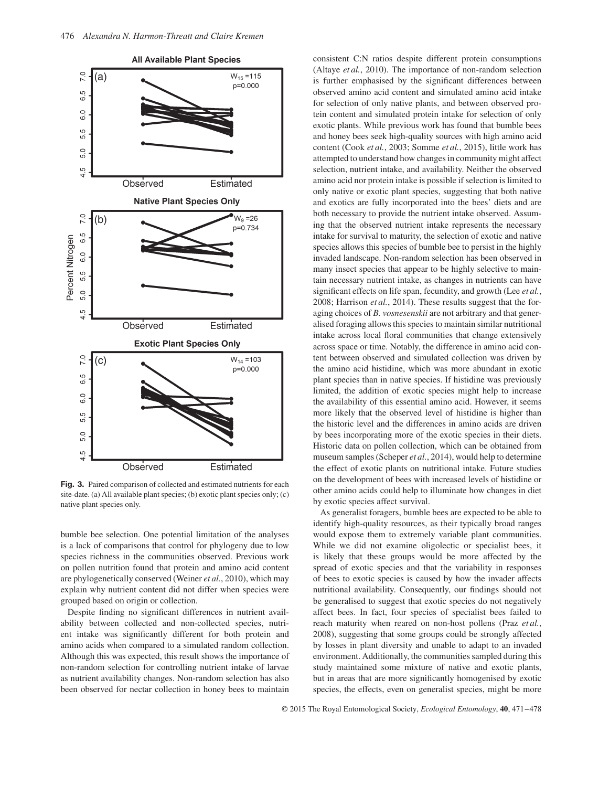

Fig. 3. Paired comparison of collected and estimated nutrients for each site-date. (a) All available plant species; (b) exotic plant species only; (c) native plant species only.

bumble bee selection. One potential limitation of the analyses is a lack of comparisons that control for phylogeny due to low species richness in the communities observed. Previous work on pollen nutrition found that protein and amino acid content are phylogenetically conserved (Weiner *et al.*, 2010), which may explain why nutrient content did not differ when species were grouped based on origin or collection.

Despite finding no significant differences in nutrient availability between collected and non-collected species, nutrient intake was significantly different for both protein and amino acids when compared to a simulated random collection. Although this was expected, this result shows the importance of non-random selection for controlling nutrient intake of larvae as nutrient availability changes. Non-random selection has also been observed for nectar collection in honey bees to maintain consistent C:N ratios despite different protein consumptions (Altaye *et al.*, 2010). The importance of non-random selection is further emphasised by the significant differences between observed amino acid content and simulated amino acid intake for selection of only native plants, and between observed protein content and simulated protein intake for selection of only exotic plants. While previous work has found that bumble bees and honey bees seek high-quality sources with high amino acid content (Cook *et al.*, 2003; Somme *et al.*, 2015), little work has attempted to understand how changes in community might affect selection, nutrient intake, and availability. Neither the observed amino acid nor protein intake is possible if selection is limited to only native or exotic plant species, suggesting that both native and exotics are fully incorporated into the bees' diets and are both necessary to provide the nutrient intake observed. Assuming that the observed nutrient intake represents the necessary intake for survival to maturity, the selection of exotic and native species allows this species of bumble bee to persist in the highly invaded landscape. Non-random selection has been observed in many insect species that appear to be highly selective to maintain necessary nutrient intake, as changes in nutrients can have significant effects on life span, fecundity, and growth (Lee *et al.*, 2008; Harrison *et al.*, 2014). These results suggest that the foraging choices of *B. vosnesenskii* are not arbitrary and that generalised foraging allows this species to maintain similar nutritional intake across local floral communities that change extensively across space or time. Notably, the difference in amino acid content between observed and simulated collection was driven by the amino acid histidine, which was more abundant in exotic plant species than in native species. If histidine was previously limited, the addition of exotic species might help to increase the availability of this essential amino acid. However, it seems more likely that the observed level of histidine is higher than the historic level and the differences in amino acids are driven by bees incorporating more of the exotic species in their diets. Historic data on pollen collection, which can be obtained from museum samples (Scheper *et al.*, 2014), would help to determine the effect of exotic plants on nutritional intake. Future studies on the development of bees with increased levels of histidine or other amino acids could help to illuminate how changes in diet by exotic species affect survival.

As generalist foragers, bumble bees are expected to be able to identify high-quality resources, as their typically broad ranges would expose them to extremely variable plant communities. While we did not examine oligolectic or specialist bees, it is likely that these groups would be more affected by the spread of exotic species and that the variability in responses of bees to exotic species is caused by how the invader affects nutritional availability. Consequently, our findings should not be generalised to suggest that exotic species do not negatively affect bees. In fact, four species of specialist bees failed to reach maturity when reared on non-host pollens (Praz *et al.*, 2008), suggesting that some groups could be strongly affected by losses in plant diversity and unable to adapt to an invaded environment. Additionally, the communities sampled during this study maintained some mixture of native and exotic plants, but in areas that are more significantly homogenised by exotic species, the effects, even on generalist species, might be more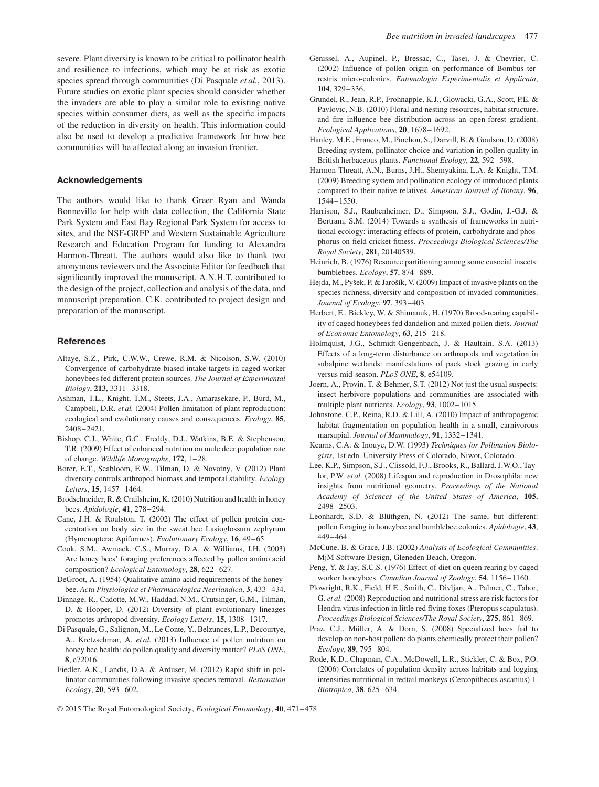## **Acknowledgements**

The authors would like to thank Greer Ryan and Wanda Bonneville for help with data collection, the California State Park System and East Bay Regional Park System for access to sites, and the NSF-GRFP and Western Sustainable Agriculture Research and Education Program for funding to Alexandra Harmon-Threatt. The authors would also like to thank two anonymous reviewers and the Associate Editor for feedback that significantly improved the manuscript. A.N.H.T. contributed to the design of the project, collection and analysis of the data, and manuscript preparation. C.K. contributed to project design and preparation of the manuscript.

### **References**

- Altaye, S.Z., Pirk, C.W.W., Crewe, R.M. & Nicolson, S.W. (2010) Convergence of carbohydrate-biased intake targets in caged worker honeybees fed different protein sources. *The Journal of Experimental Biology*, **213**, 3311–3318.
- Ashman, T.L., Knight, T.M., Steets, J.A., Amarasekare, P., Burd, M., Campbell, D.R. *et al.* (2004) Pollen limitation of plant reproduction: ecological and evolutionary causes and consequences. *Ecology*, **85**, 2408–2421.
- Bishop, C.J., White, G.C., Freddy, D.J., Watkins, B.E. & Stephenson, T.R. (2009) Effect of enhanced nutrition on mule deer population rate of change. *Wildlife Monographs*, **172**, 1–28.
- Borer, E.T., Seabloom, E.W., Tilman, D. & Novotny, V. (2012) Plant diversity controls arthropod biomass and temporal stability. *Ecology Letters*, **15**, 1457–1464.
- Brodschneider, R. & Crailsheim, K. (2010) Nutrition and health in honey bees. *Apidologie*, **41**, 278–294.
- Cane, J.H. & Roulston, T. (2002) The effect of pollen protein concentration on body size in the sweat bee Lasioglossum zephyrum (Hymenoptera: Apiformes). *Evolutionary Ecology*, **16**, 49–65.
- Cook, S.M., Awmack, C.S., Murray, D.A. & Williams, I.H. (2003) Are honey bees' foraging preferences affected by pollen amino acid composition? *Ecological Entomology*, **28**, 622–627.
- DeGroot, A. (1954) Qualitative amino acid requirements of the honeybee. *Acta Physiologica et Pharmacologica Neerlandica*, **3**, 433–434.
- Dinnage, R., Cadotte, M.W., Haddad, N.M., Crutsinger, G.M., Tilman, D. & Hooper, D. (2012) Diversity of plant evolutionary lineages promotes arthropod diversity. *Ecology Letters*, **15**, 1308–1317.
- Di Pasquale, G., Salignon, M., Le Conte, Y., Belzunces, L.P., Decourtye, A., Kretzschmar, A. *et al.* (2013) Influence of pollen nutrition on honey bee health: do pollen quality and diversity matter? *PLoS ONE*, **8**, e72016.
- Fiedler, A.K., Landis, D.A. & Arduser, M. (2012) Rapid shift in pollinator communities following invasive species removal. *Restoration Ecology*, **20**, 593–602.
- Genissel, A., Aupinel, P., Bressac, C., Tasei, J. & Chevrier, C. (2002) Influence of pollen origin on performance of Bombus terrestris micro-colonies. *Entomologia Experimentalis et Applicata*, **104**, 329–336.
- Grundel, R., Jean, R.P., Frohnapple, K.J., Glowacki, G.A., Scott, P.E. & Pavlovic, N.B. (2010) Floral and nesting resources, habitat structure, and fire influence bee distribution across an open-forest gradient. *Ecological Applications*, **20**, 1678–1692.
- Hanley, M.E., Franco, M., Pinchon, S., Darvill, B. & Goulson, D. (2008) Breeding system, pollinator choice and variation in pollen quality in British herbaceous plants. *Functional Ecology*, **22**, 592–598.
- Harmon-Threatt, A.N., Burns, J.H., Shemyakina, L.A. & Knight, T.M. (2009) Breeding system and pollination ecology of introduced plants compared to their native relatives. *American Journal of Botany*, **96**, 1544–1550.
- Harrison, S.J., Raubenheimer, D., Simpson, S.J., Godin, J.-G.J. & Bertram, S.M. (2014) Towards a synthesis of frameworks in nutritional ecology: interacting effects of protein, carbohydrate and phosphorus on field cricket fitness. *Proceedings Biological Sciences/The Royal Society*, **281**, 20140539.
- Heinrich, B. (1976) Resource partitioning among some eusocial insects: bumblebees. *Ecology*, **57**, 874–889.
- Hejda, M., Pyšek, P. & Jarošík, V. (2009) Impact of invasive plants on the species richness, diversity and composition of invaded communities. *Journal of Ecology*, **97**, 393–403.
- Herbert, E., Bickley, W. & Shimanuk, H. (1970) Brood-rearing capability of caged honeybees fed dandelion and mixed pollen diets. *Journal of Economic Entomology*, **63**, 215–218.
- Holmquist, J.G., Schmidt-Gengenbach, J. & Haultain, S.A. (2013) Effects of a long-term disturbance on arthropods and vegetation in subalpine wetlands: manifestations of pack stock grazing in early versus mid-season. *PLoS ONE*, **8**, e54109.
- Joern, A., Provin, T. & Behmer, S.T. (2012) Not just the usual suspects: insect herbivore populations and communities are associated with multiple plant nutrients. *Ecology*, **93**, 1002–1015.
- Johnstone, C.P., Reina, R.D. & Lill, A. (2010) Impact of anthropogenic habitat fragmentation on population health in a small, carnivorous marsupial. *Journal of Mammalogy*, **91**, 1332–1341.
- Kearns, C.A. & Inouye, D.W. (1993) *Techniques for Pollination Biologists*, 1st edn. University Press of Colorado, Niwot, Colorado.
- Lee, K.P., Simpson, S.J., Clissold, F.J., Brooks, R., Ballard, J.W.O., Taylor, P.W. *et al.* (2008) Lifespan and reproduction in Drosophila: new insights from nutritional geometry. *Proceedings of the National Academy of Sciences of the United States of America*, **105**, 2498–2503.
- Leonhardt, S.D. & Blüthgen, N. (2012) The same, but different: pollen foraging in honeybee and bumblebee colonies. *Apidologie*, **43**, 449–464.
- McCune, B. & Grace, J.B. (2002) *Analysis of Ecological Communities*. MjM Software Design, Gleneden Beach, Oregon.
- Peng, Y. & Jay, S.C.S. (1976) Effect of diet on queen rearing by caged worker honeybees. *Canadian Journal of Zoology*, **54**, 1156–1160.
- Plowright, R.K., Field, H.E., Smith, C., Divljan, A., Palmer, C., Tabor, G. *et al.* (2008) Reproduction and nutritional stress are risk factors for Hendra virus infection in little red flying foxes (Pteropus scapulatus). *Proceedings Biological Sciences/The Royal Society*, **275**, 861–869.
- Praz, C.J., Müller, A. & Dorn, S. (2008) Specialized bees fail to develop on non-host pollen: do plants chemically protect their pollen? *Ecology*, **89**, 795–804.
- Rode, K.D., Chapman, C.A., McDowell, L.R., Stickler, C. & Box, P.O. (2006) Correlates of population density across habitats and logging intensities nutritional in redtail monkeys (Cercopithecus ascanius) 1. *Biotropica*, **38**, 625–634.
- © 2015 The Royal Entomological Society, *Ecological Entomology*, **40**, 471–478